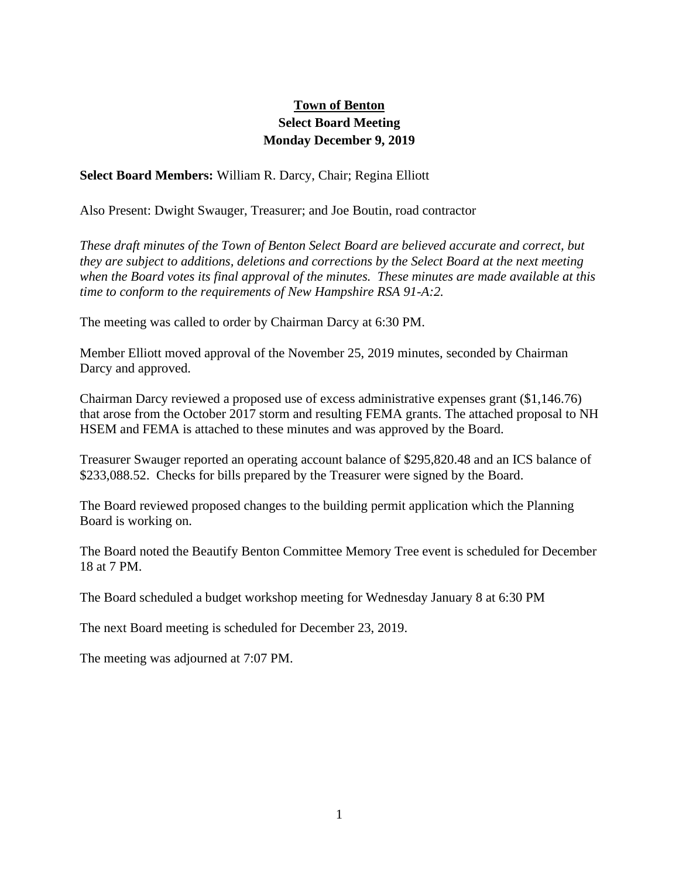## **Town of Benton Select Board Meeting Monday December 9, 2019**

## **Select Board Members:** William R. Darcy, Chair; Regina Elliott

Also Present: Dwight Swauger, Treasurer; and Joe Boutin, road contractor

*These draft minutes of the Town of Benton Select Board are believed accurate and correct, but they are subject to additions, deletions and corrections by the Select Board at the next meeting when the Board votes its final approval of the minutes. These minutes are made available at this time to conform to the requirements of New Hampshire RSA 91-A:2.*

The meeting was called to order by Chairman Darcy at 6:30 PM.

Member Elliott moved approval of the November 25, 2019 minutes, seconded by Chairman Darcy and approved.

Chairman Darcy reviewed a proposed use of excess administrative expenses grant (\$1,146.76) that arose from the October 2017 storm and resulting FEMA grants. The attached proposal to NH HSEM and FEMA is attached to these minutes and was approved by the Board.

Treasurer Swauger reported an operating account balance of \$295,820.48 and an ICS balance of \$233,088.52. Checks for bills prepared by the Treasurer were signed by the Board.

The Board reviewed proposed changes to the building permit application which the Planning Board is working on.

The Board noted the Beautify Benton Committee Memory Tree event is scheduled for December 18 at 7 PM.

The Board scheduled a budget workshop meeting for Wednesday January 8 at 6:30 PM

The next Board meeting is scheduled for December 23, 2019.

The meeting was adjourned at 7:07 PM.